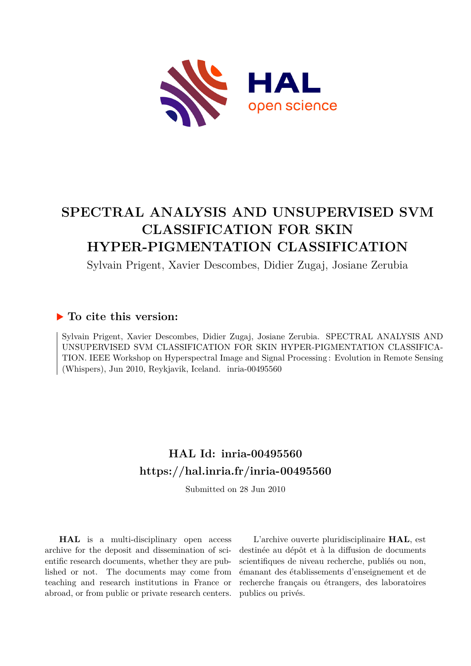

# **SPECTRAL ANALYSIS AND UNSUPERVISED SVM CLASSIFICATION FOR SKIN HYPER-PIGMENTATION CLASSIFICATION**

Sylvain Prigent, Xavier Descombes, Didier Zugaj, Josiane Zerubia

### **To cite this version:**

Sylvain Prigent, Xavier Descombes, Didier Zugaj, Josiane Zerubia. SPECTRAL ANALYSIS AND UNSUPERVISED SVM CLASSIFICATION FOR SKIN HYPER-PIGMENTATION CLASSIFICA-TION. IEEE Workshop on Hyperspectral Image and Signal Processing : Evolution in Remote Sensing (Whispers), Jun 2010, Reykjavik, Iceland. inria-00495560

## **HAL Id: inria-00495560 <https://hal.inria.fr/inria-00495560>**

Submitted on 28 Jun 2010

**HAL** is a multi-disciplinary open access archive for the deposit and dissemination of scientific research documents, whether they are published or not. The documents may come from teaching and research institutions in France or abroad, or from public or private research centers.

L'archive ouverte pluridisciplinaire **HAL**, est destinée au dépôt et à la diffusion de documents scientifiques de niveau recherche, publiés ou non, émanant des établissements d'enseignement et de recherche français ou étrangers, des laboratoires publics ou privés.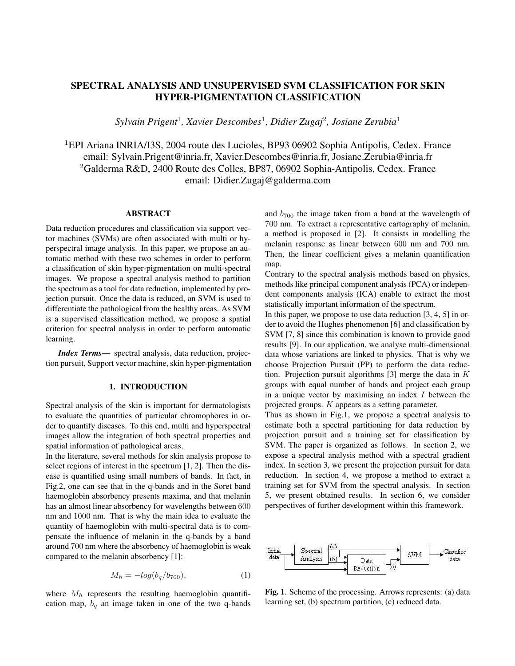### SPECTRAL ANALYSIS AND UNSUPERVISED SVM CLASSIFICATION FOR SKIN HYPER-PIGMENTATION CLASSIFICATION

*Sylvain Prigent*<sup>1</sup> *, Xavier Descombes*<sup>1</sup> *, Didier Zugaj*<sup>2</sup> *, Josiane Zerubia*<sup>1</sup>

<sup>1</sup>EPI Ariana INRIA/I3S, 2004 route des Lucioles, BP93 06902 Sophia Antipolis, Cedex. France email: Sylvain.Prigent@inria.fr, Xavier.Descombes@inria.fr, Josiane.Zerubia@inria.fr <sup>2</sup>Galderma R&D, 2400 Route des Colles, BP87, 06902 Sophia-Antipolis, Cedex. France email: Didier.Zugaj@galderma.com

#### **ABSTRACT**

Data reduction procedures and classification via support vector machines (SVMs) are often associated with multi or hyperspectral image analysis. In this paper, we propose an automatic method with these two schemes in order to perform a classification of skin hyper-pigmentation on multi-spectral images. We propose a spectral analysis method to partition the spectrum as a tool for data reduction, implemented by projection pursuit. Once the data is reduced, an SVM is used to differentiate the pathological from the healthy areas. As SVM is a supervised classification method, we propose a spatial criterion for spectral analysis in order to perform automatic learning.

*Index Terms*— spectral analysis, data reduction, projection pursuit, Support vector machine, skin hyper-pigmentation

#### 1. INTRODUCTION

Spectral analysis of the skin is important for dermatologists to evaluate the quantities of particular chromophores in order to quantify diseases. To this end, multi and hyperspectral images allow the integration of both spectral properties and spatial information of pathological areas.

In the literature, several methods for skin analysis propose to select regions of interest in the spectrum [1, 2]. Then the disease is quantified using small numbers of bands. In fact, in Fig.2, one can see that in the q-bands and in the Soret band haemoglobin absorbency presents maxima, and that melanin has an almost linear absorbency for wavelengths between 600 nm and 1000 nm. That is why the main idea to evaluate the quantity of haemoglobin with multi-spectral data is to compensate the influence of melanin in the q-bands by a band around 700 nm where the absorbency of haemoglobin is weak compared to the melanin absorbency [1]:

$$
M_h = -\log(b_q/b_{700}),\tag{1}
$$

where  $M_h$  represents the resulting haemoglobin quantification map,  $b_q$  an image taken in one of the two q-bands and  $b_{700}$  the image taken from a band at the wavelength of 700 nm. To extract a representative cartography of melanin, a method is proposed in [2]. It consists in modelling the melanin response as linear between 600 nm and 700 nm. Then, the linear coefficient gives a melanin quantification map.

Contrary to the spectral analysis methods based on physics, methods like principal component analysis (PCA) or independent components analysis (ICA) enable to extract the most statistically important information of the spectrum.

In this paper, we propose to use data reduction [3, 4, 5] in order to avoid the Hughes phenomenon [6] and classification by SVM [7, 8] since this combination is known to provide good results [9]. In our application, we analyse multi-dimensional data whose variations are linked to physics. That is why we choose Projection Pursuit (PP) to perform the data reduction. Projection pursuit algorithms [3] merge the data in  $K$ groups with equal number of bands and project each group in a unique vector by maximising an index  $I$  between the projected groups. K appears as a setting parameter.

Thus as shown in Fig.1, we propose a spectral analysis to estimate both a spectral partitioning for data reduction by projection pursuit and a training set for classification by SVM. The paper is organized as follows. In section 2, we expose a spectral analysis method with a spectral gradient index. In section 3, we present the projection pursuit for data reduction. In section 4, we propose a method to extract a training set for SVM from the spectral analysis. In section 5, we present obtained results. In section 6, we consider perspectives of further development within this framework.



Fig. 1. Scheme of the processing. Arrows represents: (a) data learning set, (b) spectrum partition, (c) reduced data.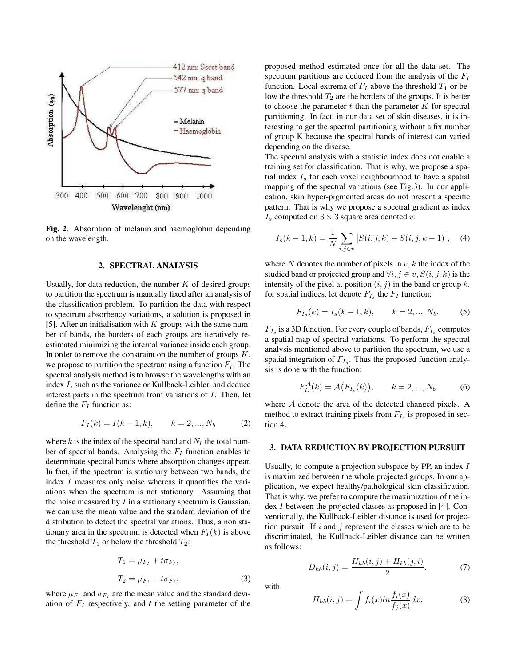

Fig. 2. Absorption of melanin and haemoglobin depending on the wavelength.

#### 2. SPECTRAL ANALYSIS

Usually, for data reduction, the number  $K$  of desired groups to partition the spectrum is manually fixed after an analysis of the classification problem. To partition the data with respect to spectrum absorbency variations, a solution is proposed in [5]. After an initialisation with  $K$  groups with the same number of bands, the borders of each groups are iteratively reestimated minimizing the internal variance inside each group. In order to remove the constraint on the number of groups  $K$ , we propose to partition the spectrum using a function  $F_I$ . The spectral analysis method is to browse the wavelengths with an index I, such as the variance or Kullback-Leibler, and deduce interest parts in the spectrum from variations of I. Then, let define the  $F_I$  function as:

$$
F_I(k) = I(k-1, k), \qquad k = 2, ..., N_b \tag{2}
$$

where k is the index of the spectral band and  $N_b$  the total number of spectral bands. Analysing the  $F_I$  function enables to determinate spectral bands where absorption changes appear. In fact, if the spectrum is stationary between two bands, the index I measures only noise whereas it quantifies the variations when the spectrum is not stationary. Assuming that the noise measured by  $I$  in a stationary spectrum is Gaussian, we can use the mean value and the standard deviation of the distribution to detect the spectral variations. Thus, a non stationary area in the spectrum is detected when  $F_I(k)$  is above the threshold  $T_1$  or below the threshold  $T_2$ :

$$
T_1 = \mu_{F_I} + t \sigma_{F_I},
$$
  
\n
$$
T_2 = \mu_{F_I} - t \sigma_{F_I},
$$
\n(3)

where  $\mu_{F_I}$  and  $\sigma_{F_I}$  are the mean value and the standard deviation of  $F_I$  respectively, and t the setting parameter of the proposed method estimated once for all the data set. The spectrum partitions are deduced from the analysis of the  $F_I$ function. Local extrema of  $F_I$  above the threshold  $T_1$  or below the threshold  $T_2$  are the borders of the groups. It is better to choose the parameter  $t$  than the parameter  $K$  for spectral partitioning. In fact, in our data set of skin diseases, it is interesting to get the spectral partitioning without a fix number of group K because the spectral bands of interest can varied depending on the disease.

The spectral analysis with a statistic index does not enable a training set for classification. That is why, we propose a spatial index  $I<sub>s</sub>$  for each voxel neighbourhood to have a spatial mapping of the spectral variations (see Fig.3). In our application, skin hyper-pigmented areas do not present a specific pattern. That is why we propose a spectral gradient as index  $I_s$  computed on  $3 \times 3$  square area denoted v:

$$
I_s(k-1,k) = \frac{1}{N} \sum_{i,j \in v} |S(i,j,k) - S(i,j,k-1)|, \quad (4)
$$

where  $N$  denotes the number of pixels in  $v, k$  the index of the studied band or projected group and  $\forall i, j \in v, S(i, j, k)$  is the intensity of the pixel at position  $(i, j)$  in the band or group k. for spatial indices, let denote  $F_{I_s}$  the  $F_I$  function:

$$
F_{I_s}(k) = I_s(k-1,k), \qquad k = 2, ..., N_b.
$$
 (5)

 $F_{I_s}$  is a 3D function. For every couple of bands,  $F_{I_s}$  computes a spatial map of spectral variations. To perform the spectral analysis mentioned above to partition the spectrum, we use a spatial integration of  $F_{I_s}$ . Thus the proposed function analysis is done with the function:

$$
F_{I_s}^{\mathcal{A}}(k) = \mathcal{A}(F_{I_s}(k)), \qquad k = 2, ..., N_b \tag{6}
$$

where  $A$  denote the area of the detected changed pixels. A method to extract training pixels from  $F_{I_s}$  is proposed in section 4.

#### 3. DATA REDUCTION BY PROJECTION PURSUIT

Usually, to compute a projection subspace by PP, an index I is maximized between the whole projected groups. In our application, we expect healthy/pathological skin classification. That is why, we prefer to compute the maximization of the index I between the projected classes as proposed in [4]. Conventionally, the Kullback-Leibler distance is used for projection pursuit. If  $i$  and  $j$  represent the classes which are to be discriminated, the Kullback-Leibler distance can be written as follows:

$$
D_{kb}(i,j) = \frac{H_{kb}(i,j) + H_{kb}(j,i)}{2},\tag{7}
$$

with

$$
H_{kb}(i,j) = \int f_i(x) \ln \frac{f_i(x)}{f_j(x)} dx, \tag{8}
$$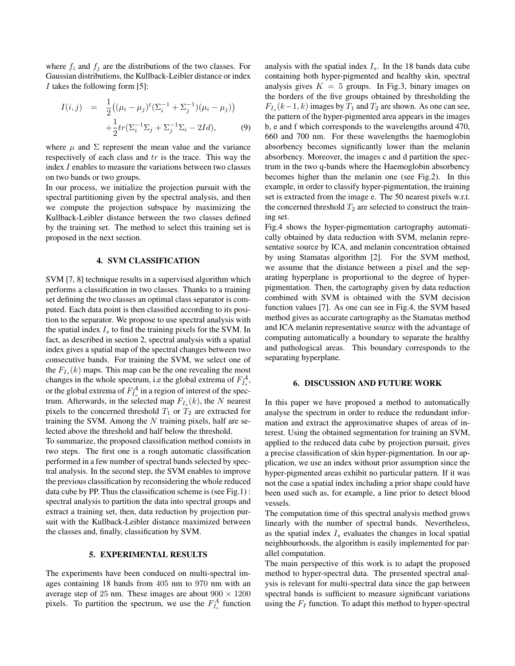where  $f_i$  and  $f_j$  are the distributions of the two classes. For Gaussian distributions, the Kullback-Leibler distance or index I takes the following form [5]:

$$
I(i,j) = \frac{1}{2}((\mu_i - \mu_j)^t (\Sigma_i^{-1} + \Sigma_j^{-1})(\mu_i - \mu_j)) + \frac{1}{2}tr(\Sigma_i^{-1} \Sigma_j + \Sigma_j^{-1} \Sigma_i - 2Id),
$$
 (9)

where  $\mu$  and  $\Sigma$  represent the mean value and the variance respectively of each class and tr is the trace. This way the index I enables to measure the variations between two classes on two bands or two groups.

In our process, we initialize the projection pursuit with the spectral partitioning given by the spectral analysis, and then we compute the projection subspace by maximizing the Kullback-Leibler distance between the two classes defined by the training set. The method to select this training set is proposed in the next section.

#### 4. SVM CLASSIFICATION

SVM [7, 8] technique results in a supervised algorithm which performs a classification in two classes. Thanks to a training set defining the two classes an optimal class separator is computed. Each data point is then classified according to its position to the separator. We propose to use spectral analysis with the spatial index  $I_s$  to find the training pixels for the SVM. In fact, as described in section 2, spectral analysis with a spatial index gives a spatial map of the spectral changes between two consecutive bands. For training the SVM, we select one of the  $F_{I_s}(k)$  maps. This map can be the one revealing the most changes in the whole spectrum, i.e the global extrema of  $F_{I_s}^{\mathcal{A}}$ , or the global extrema of  $F_{I_s}^{\mathcal{A}}$  in a region of interest of the spectrum. Afterwards, in the selected map  $F_{I_s}(k)$ , the N nearest pixels to the concerned threshold  $T_1$  or  $T_2$  are extracted for training the SVM. Among the  $N$  training pixels, half are selected above the threshold and half below the threshold.

To summarize, the proposed classification method consists in two steps. The first one is a rough automatic classification performed in a few number of spectral bands selected by spectral analysis. In the second step, the SVM enables to improve the previous classification by reconsidering the whole reduced data cube by PP. Thus the classification scheme is (see Fig.1) : spectral analysis to partition the data into spectral groups and extract a training set, then, data reduction by projection pursuit with the Kullback-Leibler distance maximized between the classes and, finally, classification by SVM.

#### 5. EXPERIMENTAL RESULTS

The experiments have been conduced on multi-spectral images containing 18 bands from 405 nm to 970 nm with an average step of 25 nm. These images are about  $900 \times 1200$ pixels. To partition the spectrum, we use the  $F_{I_s}^A$  function analysis with the spatial index  $I_s$ . In the 18 bands data cube containing both hyper-pigmented and healthy skin, spectral analysis gives  $K = 5$  groups. In Fig.3, binary images on the borders of the five groups obtained by thresholding the  $F_{I_s}(k-1, k)$  images by  $T_1$  and  $T_2$  are shown. As one can see, the pattern of the hyper-pigmented area appears in the images b, e and f which corresponds to the wavelengths around 470, 660 and 700 nm. For these wavelengths the haemoglobin absorbency becomes significantly lower than the melanin absorbency. Moreover, the images c and d partition the spectrum in the two q-bands where the Haemoglobin absorbency becomes higher than the melanin one (see Fig.2). In this example, in order to classify hyper-pigmentation, the training set is extracted from the image e. The 50 nearest pixels w.r.t. the concerned threshold  $T_2$  are selected to construct the training set.

Fig.4 shows the hyper-pigmentation cartography automatically obtained by data reduction with SVM, melanin representative source by ICA, and melanin concentration obtained by using Stamatas algorithm [2]. For the SVM method, we assume that the distance between a pixel and the separating hyperplane is proportional to the degree of hyperpigmentation. Then, the cartography given by data reduction combined with SVM is obtained with the SVM decision function values [7]. As one can see in Fig.4, the SVM based method gives as accurate cartography as the Stamatas method and ICA melanin representative source with the advantage of computing automatically a boundary to separate the healthy and pathological areas. This boundary corresponds to the separating hyperplane.

#### 6. DISCUSSION AND FUTURE WORK

In this paper we have proposed a method to automatically analyse the spectrum in order to reduce the redundant information and extract the approximative shapes of areas of interest. Using the obtained segmentation for training an SVM, applied to the reduced data cube by projection pursuit, gives a precise classification of skin hyper-pigmentation. In our application, we use an index without prior assumption since the hyper-pigmented areas exhibit no particular pattern. If it was not the case a spatial index including a prior shape could have been used such as, for example, a line prior to detect blood vessels.

The computation time of this spectral analysis method grows linearly with the number of spectral bands. Nevertheless, as the spatial index  $I_s$  evaluates the changes in local spatial neighbourhoods, the algorithm is easily implemented for parallel computation.

The main perspective of this work is to adapt the proposed method to hyper-spectral data. The presented spectral analysis is relevant for multi-spectral data since the gap between spectral bands is sufficient to measure significant variations using the  $F_I$  function. To adapt this method to hyper-spectral